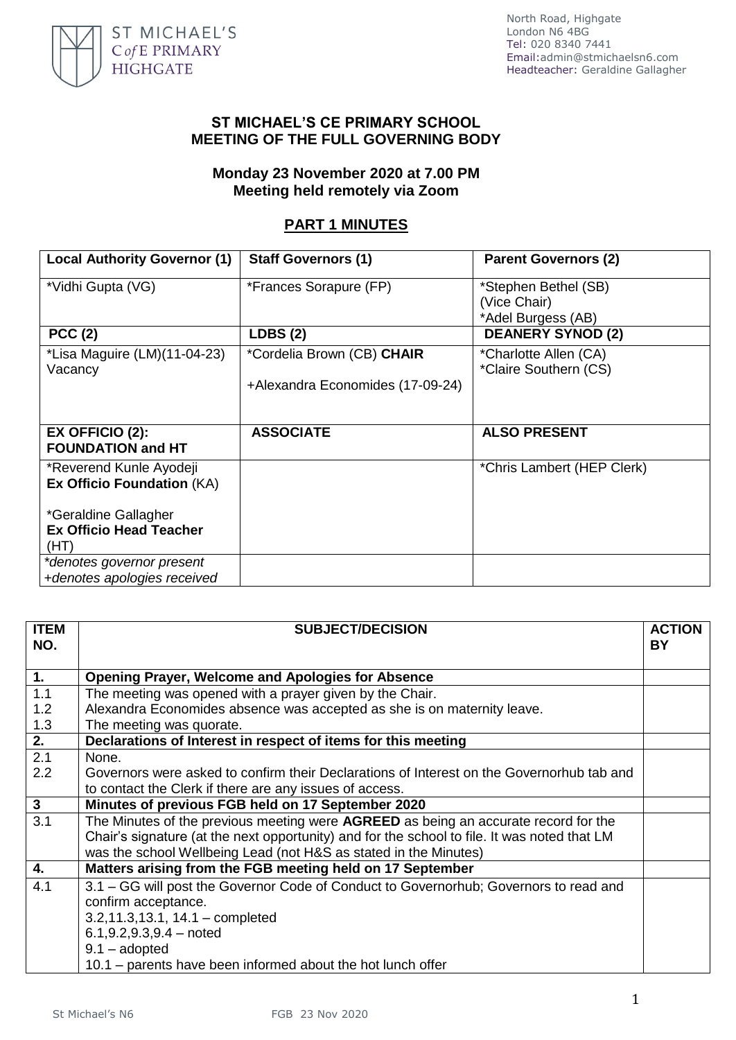

North Road, Highgate London N6 4BG Tel: 020 8340 7441 Email[:admin@stmichaelsn6.com](mailto:admin@stmichaelsn6.com) Headteacher: Geraldine Gallagher

## **ST MICHAEL'S CE PRIMARY SCHOOL MEETING OF THE FULL GOVERNING BODY**

## **Monday 23 November 2020 at 7.00 PM Meeting held remotely via Zoom**

## **PART 1 MINUTES**

| <b>Local Authority Governor (1)</b>                          | <b>Staff Governors (1)</b>       | <b>Parent Governors (2)</b>                                |
|--------------------------------------------------------------|----------------------------------|------------------------------------------------------------|
| *Vidhi Gupta (VG)                                            | *Frances Sorapure (FP)           | *Stephen Bethel (SB)<br>(Vice Chair)<br>*Adel Burgess (AB) |
| PCC(2)                                                       | <b>LDBS (2)</b>                  | <b>DEANERY SYNOD (2)</b>                                   |
| *Lisa Maguire (LM)(11-04-23)<br>Vacancy                      | *Cordelia Brown (CB) CHAIR       | *Charlotte Allen (CA)<br>*Claire Southern (CS)             |
|                                                              | +Alexandra Economides (17-09-24) |                                                            |
| <b>EX OFFICIO (2):</b><br><b>FOUNDATION and HT</b>           | <b>ASSOCIATE</b>                 | <b>ALSO PRESENT</b>                                        |
| *Reverend Kunle Ayodeji<br><b>Ex Officio Foundation (KA)</b> |                                  | *Chris Lambert (HEP Clerk)                                 |
| *Geraldine Gallagher                                         |                                  |                                                            |
| <b>Ex Officio Head Teacher</b><br>(HT)                       |                                  |                                                            |
| *denotes governor present                                    |                                  |                                                            |
| +denotes apologies received                                  |                                  |                                                            |

| <b>ITEM</b><br>NO.      | <b>SUBJECT/DECISION</b>                                                                      | <b>ACTION</b><br><b>BY</b> |
|-------------------------|----------------------------------------------------------------------------------------------|----------------------------|
| 1.                      | <b>Opening Prayer, Welcome and Apologies for Absence</b>                                     |                            |
| 1.1                     | The meeting was opened with a prayer given by the Chair.                                     |                            |
| 1.2                     | Alexandra Economides absence was accepted as she is on maternity leave.                      |                            |
| 1.3                     | The meeting was quorate.                                                                     |                            |
| 2.                      | Declarations of Interest in respect of items for this meeting                                |                            |
| 2.1                     | None.                                                                                        |                            |
| 2.2                     | Governors were asked to confirm their Declarations of Interest on the Governorhub tab and    |                            |
|                         | to contact the Clerk if there are any issues of access.                                      |                            |
| $\overline{\mathbf{3}}$ | Minutes of previous FGB held on 17 September 2020                                            |                            |
| 3.1                     | The Minutes of the previous meeting were AGREED as being an accurate record for the          |                            |
|                         | Chair's signature (at the next opportunity) and for the school to file. It was noted that LM |                            |
|                         | was the school Wellbeing Lead (not H&S as stated in the Minutes)                             |                            |
| 4.                      | Matters arising from the FGB meeting held on 17 September                                    |                            |
| 4.1                     | 3.1 – GG will post the Governor Code of Conduct to Governorhub; Governors to read and        |                            |
|                         | confirm acceptance.                                                                          |                            |
|                         | $3.2, 11.3, 13.1, 14.1$ - completed                                                          |                            |
|                         | $6.1, 9.2, 9.3, 9.4$ – noted                                                                 |                            |
|                         | $9.1 -$ adopted                                                                              |                            |
|                         | 10.1 – parents have been informed about the hot lunch offer                                  |                            |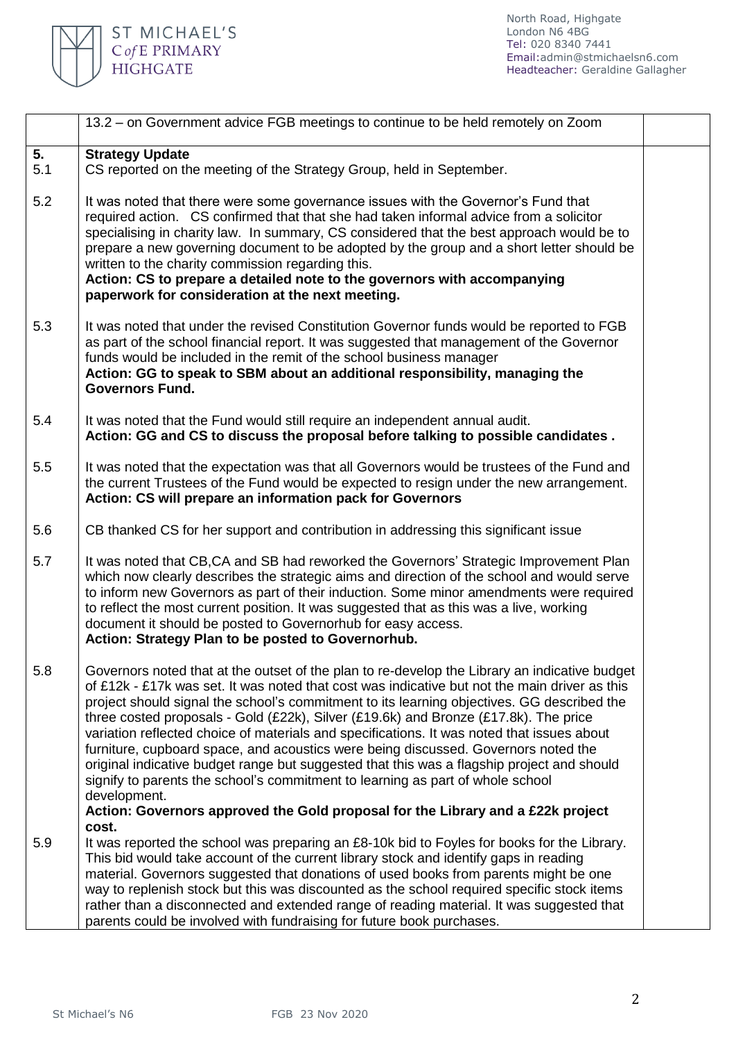

|           | 13.2 – on Government advice FGB meetings to continue to be held remotely on Zoom                                                                                                                                                                                                                                                                                                                                                                                                                                                                                                                                                                                                                                                                                                                                                                            |
|-----------|-------------------------------------------------------------------------------------------------------------------------------------------------------------------------------------------------------------------------------------------------------------------------------------------------------------------------------------------------------------------------------------------------------------------------------------------------------------------------------------------------------------------------------------------------------------------------------------------------------------------------------------------------------------------------------------------------------------------------------------------------------------------------------------------------------------------------------------------------------------|
| 5.<br>5.1 | <b>Strategy Update</b><br>CS reported on the meeting of the Strategy Group, held in September.                                                                                                                                                                                                                                                                                                                                                                                                                                                                                                                                                                                                                                                                                                                                                              |
| 5.2       | It was noted that there were some governance issues with the Governor's Fund that<br>required action. CS confirmed that that she had taken informal advice from a solicitor<br>specialising in charity law. In summary, CS considered that the best approach would be to<br>prepare a new governing document to be adopted by the group and a short letter should be<br>written to the charity commission regarding this.<br>Action: CS to prepare a detailed note to the governors with accompanying<br>paperwork for consideration at the next meeting.                                                                                                                                                                                                                                                                                                   |
| 5.3       | It was noted that under the revised Constitution Governor funds would be reported to FGB<br>as part of the school financial report. It was suggested that management of the Governor<br>funds would be included in the remit of the school business manager<br>Action: GG to speak to SBM about an additional responsibility, managing the<br><b>Governors Fund.</b>                                                                                                                                                                                                                                                                                                                                                                                                                                                                                        |
| 5.4       | It was noted that the Fund would still require an independent annual audit.<br>Action: GG and CS to discuss the proposal before talking to possible candidates.                                                                                                                                                                                                                                                                                                                                                                                                                                                                                                                                                                                                                                                                                             |
| 5.5       | It was noted that the expectation was that all Governors would be trustees of the Fund and<br>the current Trustees of the Fund would be expected to resign under the new arrangement.<br>Action: CS will prepare an information pack for Governors                                                                                                                                                                                                                                                                                                                                                                                                                                                                                                                                                                                                          |
| 5.6       | CB thanked CS for her support and contribution in addressing this significant issue                                                                                                                                                                                                                                                                                                                                                                                                                                                                                                                                                                                                                                                                                                                                                                         |
| 5.7       | It was noted that CB, CA and SB had reworked the Governors' Strategic Improvement Plan<br>which now clearly describes the strategic aims and direction of the school and would serve<br>to inform new Governors as part of their induction. Some minor amendments were required<br>to reflect the most current position. It was suggested that as this was a live, working<br>document it should be posted to Governorhub for easy access.<br>Action: Strategy Plan to be posted to Governorhub.                                                                                                                                                                                                                                                                                                                                                            |
| 5.8       | Governors noted that at the outset of the plan to re-develop the Library an indicative budget<br>of £12k - £17k was set. It was noted that cost was indicative but not the main driver as this<br>project should signal the school's commitment to its learning objectives. GG described the<br>three costed proposals - Gold (£22k), Silver (£19.6k) and Bronze (£17.8k). The price<br>variation reflected choice of materials and specifications. It was noted that issues about<br>furniture, cupboard space, and acoustics were being discussed. Governors noted the<br>original indicative budget range but suggested that this was a flagship project and should<br>signify to parents the school's commitment to learning as part of whole school<br>development.<br>Action: Governors approved the Gold proposal for the Library and a £22k project |
| 5.9       | cost.<br>It was reported the school was preparing an £8-10k bid to Foyles for books for the Library.<br>This bid would take account of the current library stock and identify gaps in reading<br>material. Governors suggested that donations of used books from parents might be one<br>way to replenish stock but this was discounted as the school required specific stock items<br>rather than a disconnected and extended range of reading material. It was suggested that<br>parents could be involved with fundraising for future book purchases.                                                                                                                                                                                                                                                                                                    |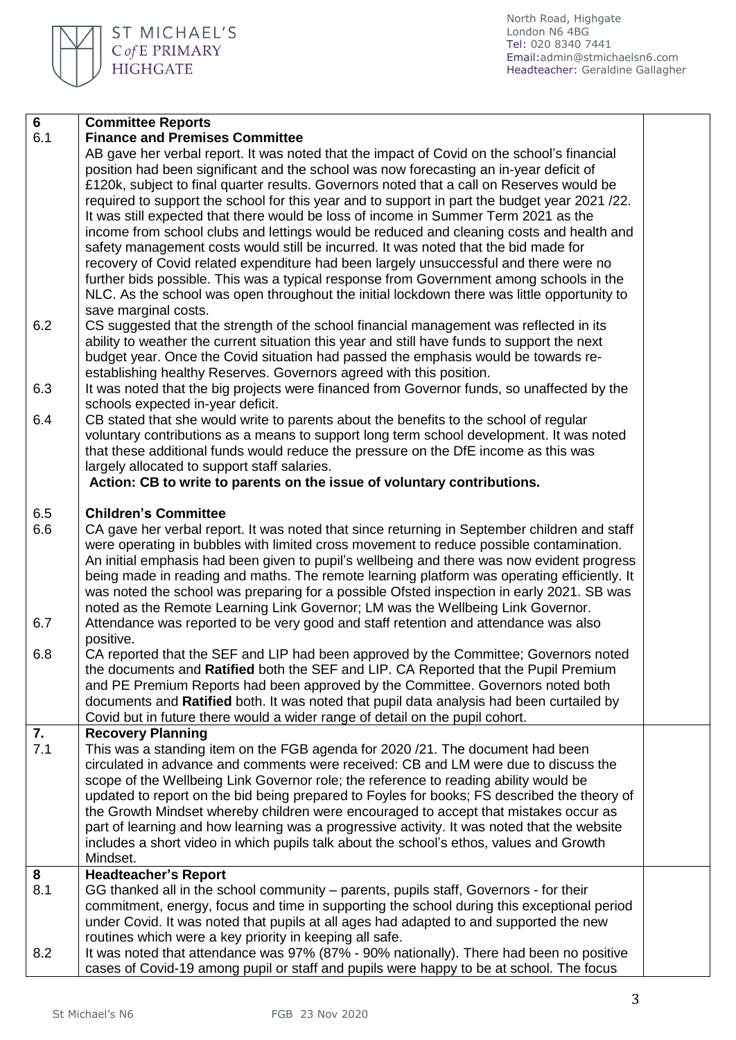North Road, Highgate London N6 4BG Tel: 020 8340 7441 Email[:admin@stmichaelsn6.com](mailto:admin@stmichaelsn6.com) Headteacher: Geraldine Gallagher

| 6.1<br><b>Finance and Premises Committee</b><br>AB gave her verbal report. It was noted that the impact of Covid on the school's financial |  |
|--------------------------------------------------------------------------------------------------------------------------------------------|--|
|                                                                                                                                            |  |
|                                                                                                                                            |  |
| position had been significant and the school was now forecasting an in-year deficit of                                                     |  |
| £120k, subject to final quarter results. Governors noted that a call on Reserves would be                                                  |  |
| required to support the school for this year and to support in part the budget year 2021 /22.                                              |  |
| It was still expected that there would be loss of income in Summer Term 2021 as the                                                        |  |
| income from school clubs and lettings would be reduced and cleaning costs and health and                                                   |  |
| safety management costs would still be incurred. It was noted that the bid made for                                                        |  |
| recovery of Covid related expenditure had been largely unsuccessful and there were no                                                      |  |
| further bids possible. This was a typical response from Government among schools in the                                                    |  |
| NLC. As the school was open throughout the initial lockdown there was little opportunity to                                                |  |
| save marginal costs.                                                                                                                       |  |
| 6.2<br>CS suggested that the strength of the school financial management was reflected in its                                              |  |
| ability to weather the current situation this year and still have funds to support the next                                                |  |
| budget year. Once the Covid situation had passed the emphasis would be towards re-                                                         |  |
| establishing healthy Reserves. Governors agreed with this position.                                                                        |  |
| 6.3<br>It was noted that the big projects were financed from Governor funds, so unaffected by the                                          |  |
| schools expected in-year deficit.                                                                                                          |  |
| CB stated that she would write to parents about the benefits to the school of regular<br>6.4                                               |  |
| voluntary contributions as a means to support long term school development. It was noted                                                   |  |
| that these additional funds would reduce the pressure on the DfE income as this was                                                        |  |
| largely allocated to support staff salaries.                                                                                               |  |
| Action: CB to write to parents on the issue of voluntary contributions.                                                                    |  |
|                                                                                                                                            |  |
| <b>Children's Committee</b><br>6.5                                                                                                         |  |
| CA gave her verbal report. It was noted that since returning in September children and staff<br>6.6                                        |  |
| were operating in bubbles with limited cross movement to reduce possible contamination.                                                    |  |
| An initial emphasis had been given to pupil's wellbeing and there was now evident progress                                                 |  |
| being made in reading and maths. The remote learning platform was operating efficiently. It                                                |  |
| was noted the school was preparing for a possible Ofsted inspection in early 2021. SB was                                                  |  |
| noted as the Remote Learning Link Governor; LM was the Wellbeing Link Governor.                                                            |  |
| 6.7<br>Attendance was reported to be very good and staff retention and attendance was also                                                 |  |
| positive.                                                                                                                                  |  |
| 6.8<br>CA reported that the SEF and LIP had been approved by the Committee; Governors noted                                                |  |
| the documents and Ratified both the SEF and LIP. CA Reported that the Pupil Premium                                                        |  |
| and PE Premium Reports had been approved by the Committee. Governors noted both                                                            |  |
| documents and Ratified both. It was noted that pupil data analysis had been curtailed by                                                   |  |
| Covid but in future there would a wider range of detail on the pupil cohort.                                                               |  |
| 7.<br><b>Recovery Planning</b>                                                                                                             |  |
| 7.1<br>This was a standing item on the FGB agenda for 2020 /21. The document had been                                                      |  |
| circulated in advance and comments were received: CB and LM were due to discuss the                                                        |  |
| scope of the Wellbeing Link Governor role; the reference to reading ability would be                                                       |  |
| updated to report on the bid being prepared to Foyles for books; FS described the theory of                                                |  |
| the Growth Mindset whereby children were encouraged to accept that mistakes occur as                                                       |  |
| part of learning and how learning was a progressive activity. It was noted that the website                                                |  |
| includes a short video in which pupils talk about the school's ethos, values and Growth<br>Mindset.                                        |  |
| 8<br><b>Headteacher's Report</b>                                                                                                           |  |
| 8.1<br>GG thanked all in the school community – parents, pupils staff, Governors - for their                                               |  |
| commitment, energy, focus and time in supporting the school during this exceptional period                                                 |  |
| under Covid. It was noted that pupils at all ages had adapted to and supported the new                                                     |  |
| routines which were a key priority in keeping all safe.                                                                                    |  |
| 8.2<br>It was noted that attendance was 97% (87% - 90% nationally). There had been no positive                                             |  |
| cases of Covid-19 among pupil or staff and pupils were happy to be at school. The focus                                                    |  |

ST MICHAEL'S

C of E PRIMARY<br>HIGHGATE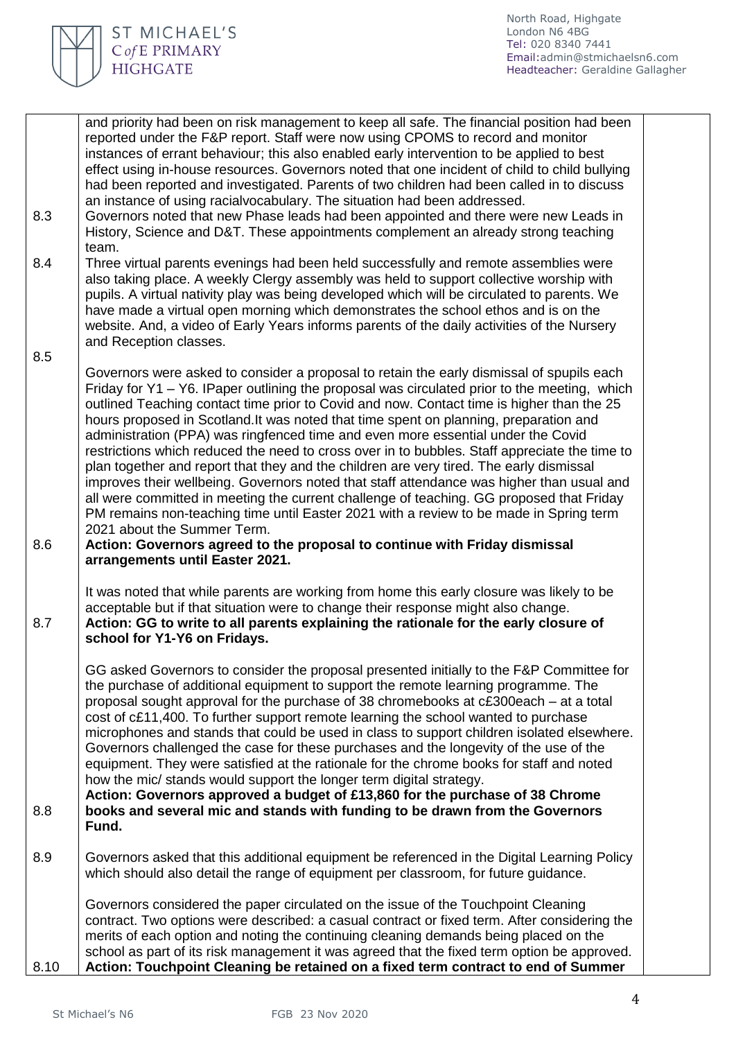

|      | and priority had been on risk management to keep all safe. The financial position had been<br>reported under the F&P report. Staff were now using CPOMS to record and monitor<br>instances of errant behaviour; this also enabled early intervention to be applied to best<br>effect using in-house resources. Governors noted that one incident of child to child bullying<br>had been reported and investigated. Parents of two children had been called in to discuss<br>an instance of using racialvocabulary. The situation had been addressed.                                                                                                                                                                                                                                                                                                                                                                                                                                                                                                                                               |
|------|----------------------------------------------------------------------------------------------------------------------------------------------------------------------------------------------------------------------------------------------------------------------------------------------------------------------------------------------------------------------------------------------------------------------------------------------------------------------------------------------------------------------------------------------------------------------------------------------------------------------------------------------------------------------------------------------------------------------------------------------------------------------------------------------------------------------------------------------------------------------------------------------------------------------------------------------------------------------------------------------------------------------------------------------------------------------------------------------------|
| 8.3  | Governors noted that new Phase leads had been appointed and there were new Leads in<br>History, Science and D&T. These appointments complement an already strong teaching<br>team.                                                                                                                                                                                                                                                                                                                                                                                                                                                                                                                                                                                                                                                                                                                                                                                                                                                                                                                 |
| 8.4  | Three virtual parents evenings had been held successfully and remote assemblies were<br>also taking place. A weekly Clergy assembly was held to support collective worship with<br>pupils. A virtual nativity play was being developed which will be circulated to parents. We<br>have made a virtual open morning which demonstrates the school ethos and is on the<br>website. And, a video of Early Years informs parents of the daily activities of the Nursery<br>and Reception classes.                                                                                                                                                                                                                                                                                                                                                                                                                                                                                                                                                                                                      |
| 8.5  |                                                                                                                                                                                                                                                                                                                                                                                                                                                                                                                                                                                                                                                                                                                                                                                                                                                                                                                                                                                                                                                                                                    |
| 8.6  | Governors were asked to consider a proposal to retain the early dismissal of spupils each<br>Friday for Y1 – Y6. IPaper outlining the proposal was circulated prior to the meeting, which<br>outlined Teaching contact time prior to Covid and now. Contact time is higher than the 25<br>hours proposed in Scotland. It was noted that time spent on planning, preparation and<br>administration (PPA) was ringfenced time and even more essential under the Covid<br>restrictions which reduced the need to cross over in to bubbles. Staff appreciate the time to<br>plan together and report that they and the children are very tired. The early dismissal<br>improves their wellbeing. Governors noted that staff attendance was higher than usual and<br>all were committed in meeting the current challenge of teaching. GG proposed that Friday<br>PM remains non-teaching time until Easter 2021 with a review to be made in Spring term<br>2021 about the Summer Term.<br>Action: Governors agreed to the proposal to continue with Friday dismissal<br>arrangements until Easter 2021. |
| 8.7  | It was noted that while parents are working from home this early closure was likely to be<br>acceptable but if that situation were to change their response might also change.<br>Action: GG to write to all parents explaining the rationale for the early closure of<br>school for Y1-Y6 on Fridays.                                                                                                                                                                                                                                                                                                                                                                                                                                                                                                                                                                                                                                                                                                                                                                                             |
| 8.8  | GG asked Governors to consider the proposal presented initially to the F&P Committee for<br>the purchase of additional equipment to support the remote learning programme. The<br>proposal sought approval for the purchase of 38 chromebooks at c£300each – at a total<br>cost of c£11,400. To further support remote learning the school wanted to purchase<br>microphones and stands that could be used in class to support children isolated elsewhere.<br>Governors challenged the case for these purchases and the longevity of the use of the<br>equipment. They were satisfied at the rationale for the chrome books for staff and noted<br>how the mic/ stands would support the longer term digital strategy.<br>Action: Governors approved a budget of £13,860 for the purchase of 38 Chrome<br>books and several mic and stands with funding to be drawn from the Governors<br>Fund.                                                                                                                                                                                                   |
| 8.9  | Governors asked that this additional equipment be referenced in the Digital Learning Policy<br>which should also detail the range of equipment per classroom, for future guidance.                                                                                                                                                                                                                                                                                                                                                                                                                                                                                                                                                                                                                                                                                                                                                                                                                                                                                                                 |
|      | Governors considered the paper circulated on the issue of the Touchpoint Cleaning<br>contract. Two options were described: a casual contract or fixed term. After considering the<br>merits of each option and noting the continuing cleaning demands being placed on the<br>school as part of its risk management it was agreed that the fixed term option be approved.                                                                                                                                                                                                                                                                                                                                                                                                                                                                                                                                                                                                                                                                                                                           |
| 8.10 | Action: Touchpoint Cleaning be retained on a fixed term contract to end of Summer                                                                                                                                                                                                                                                                                                                                                                                                                                                                                                                                                                                                                                                                                                                                                                                                                                                                                                                                                                                                                  |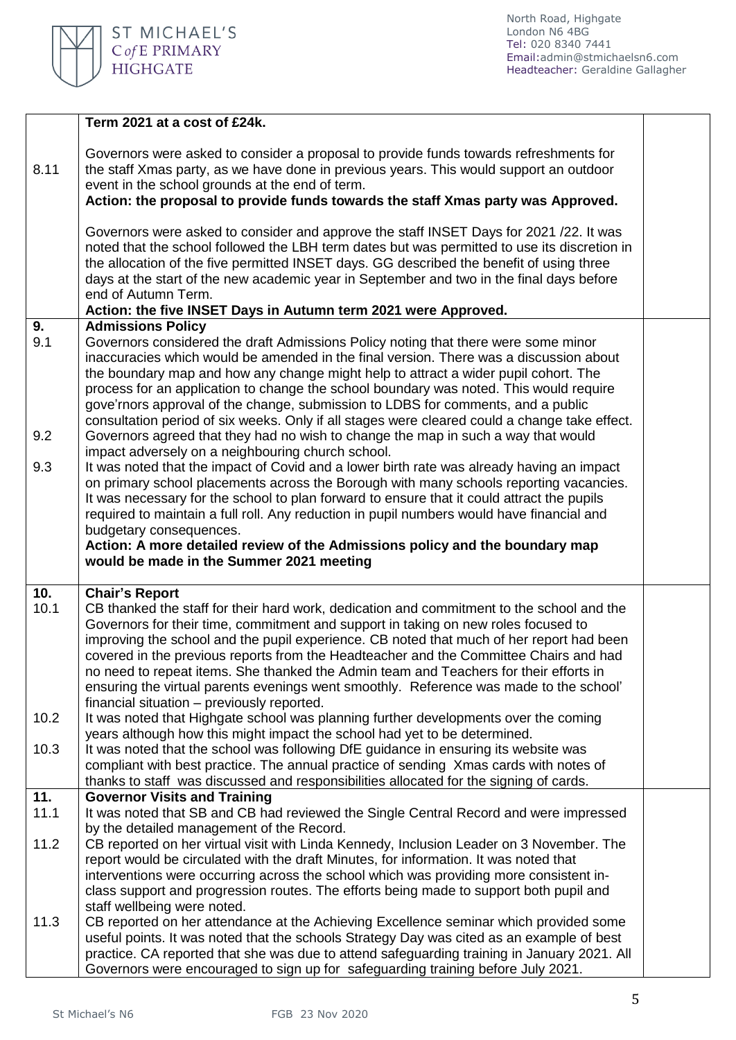

North Road, Highgate London N6 4BG Tel: 020 8340 7441 Email[:admin@stmichaelsn6.com](mailto:admin@stmichaelsn6.com) Headteacher: Geraldine Gallagher

|             | Term 2021 at a cost of £24k.                                                                                                                                                                                                                                                                                                                                                                                                                                                                                                                                                                                                   |  |
|-------------|--------------------------------------------------------------------------------------------------------------------------------------------------------------------------------------------------------------------------------------------------------------------------------------------------------------------------------------------------------------------------------------------------------------------------------------------------------------------------------------------------------------------------------------------------------------------------------------------------------------------------------|--|
| 8.11        | Governors were asked to consider a proposal to provide funds towards refreshments for<br>the staff Xmas party, as we have done in previous years. This would support an outdoor<br>event in the school grounds at the end of term.                                                                                                                                                                                                                                                                                                                                                                                             |  |
|             | Action: the proposal to provide funds towards the staff Xmas party was Approved.                                                                                                                                                                                                                                                                                                                                                                                                                                                                                                                                               |  |
|             | Governors were asked to consider and approve the staff INSET Days for 2021 /22. It was<br>noted that the school followed the LBH term dates but was permitted to use its discretion in<br>the allocation of the five permitted INSET days. GG described the benefit of using three<br>days at the start of the new academic year in September and two in the final days before<br>end of Autumn Term.                                                                                                                                                                                                                          |  |
| 9.          | Action: the five INSET Days in Autumn term 2021 were Approved.<br><b>Admissions Policy</b>                                                                                                                                                                                                                                                                                                                                                                                                                                                                                                                                     |  |
| 9.1         | Governors considered the draft Admissions Policy noting that there were some minor<br>inaccuracies which would be amended in the final version. There was a discussion about<br>the boundary map and how any change might help to attract a wider pupil cohort. The<br>process for an application to change the school boundary was noted. This would require<br>gove'rnors approval of the change, submission to LDBS for comments, and a public<br>consultation period of six weeks. Only if all stages were cleared could a change take effect.                                                                             |  |
| 9.2         | Governors agreed that they had no wish to change the map in such a way that would<br>impact adversely on a neighbouring church school.                                                                                                                                                                                                                                                                                                                                                                                                                                                                                         |  |
| 9.3         | It was noted that the impact of Covid and a lower birth rate was already having an impact<br>on primary school placements across the Borough with many schools reporting vacancies.<br>It was necessary for the school to plan forward to ensure that it could attract the pupils<br>required to maintain a full roll. Any reduction in pupil numbers would have financial and<br>budgetary consequences.                                                                                                                                                                                                                      |  |
|             | Action: A more detailed review of the Admissions policy and the boundary map<br>would be made in the Summer 2021 meeting                                                                                                                                                                                                                                                                                                                                                                                                                                                                                                       |  |
| 10.<br>10.1 | <b>Chair's Report</b><br>CB thanked the staff for their hard work, dedication and commitment to the school and the<br>Governors for their time, commitment and support in taking on new roles focused to<br>improving the school and the pupil experience. CB noted that much of her report had been<br>covered in the previous reports from the Headteacher and the Committee Chairs and had<br>no need to repeat items. She thanked the Admin team and Teachers for their efforts in<br>ensuring the virtual parents evenings went smoothly. Reference was made to the school'<br>financial situation – previously reported. |  |
| 10.2        | It was noted that Highgate school was planning further developments over the coming<br>years although how this might impact the school had yet to be determined.                                                                                                                                                                                                                                                                                                                                                                                                                                                               |  |
| 10.3        | It was noted that the school was following DfE guidance in ensuring its website was<br>compliant with best practice. The annual practice of sending Xmas cards with notes of<br>thanks to staff was discussed and responsibilities allocated for the signing of cards.                                                                                                                                                                                                                                                                                                                                                         |  |
| 11.         | <b>Governor Visits and Training</b>                                                                                                                                                                                                                                                                                                                                                                                                                                                                                                                                                                                            |  |
| 11.1        | It was noted that SB and CB had reviewed the Single Central Record and were impressed<br>by the detailed management of the Record.                                                                                                                                                                                                                                                                                                                                                                                                                                                                                             |  |
| 11.2        | CB reported on her virtual visit with Linda Kennedy, Inclusion Leader on 3 November. The<br>report would be circulated with the draft Minutes, for information. It was noted that<br>interventions were occurring across the school which was providing more consistent in-<br>class support and progression routes. The efforts being made to support both pupil and                                                                                                                                                                                                                                                          |  |
|             | staff wellbeing were noted.                                                                                                                                                                                                                                                                                                                                                                                                                                                                                                                                                                                                    |  |
| 11.3        | CB reported on her attendance at the Achieving Excellence seminar which provided some<br>useful points. It was noted that the schools Strategy Day was cited as an example of best<br>practice. CA reported that she was due to attend safeguarding training in January 2021. All<br>Governors were encouraged to sign up for safeguarding training before July 2021.                                                                                                                                                                                                                                                          |  |